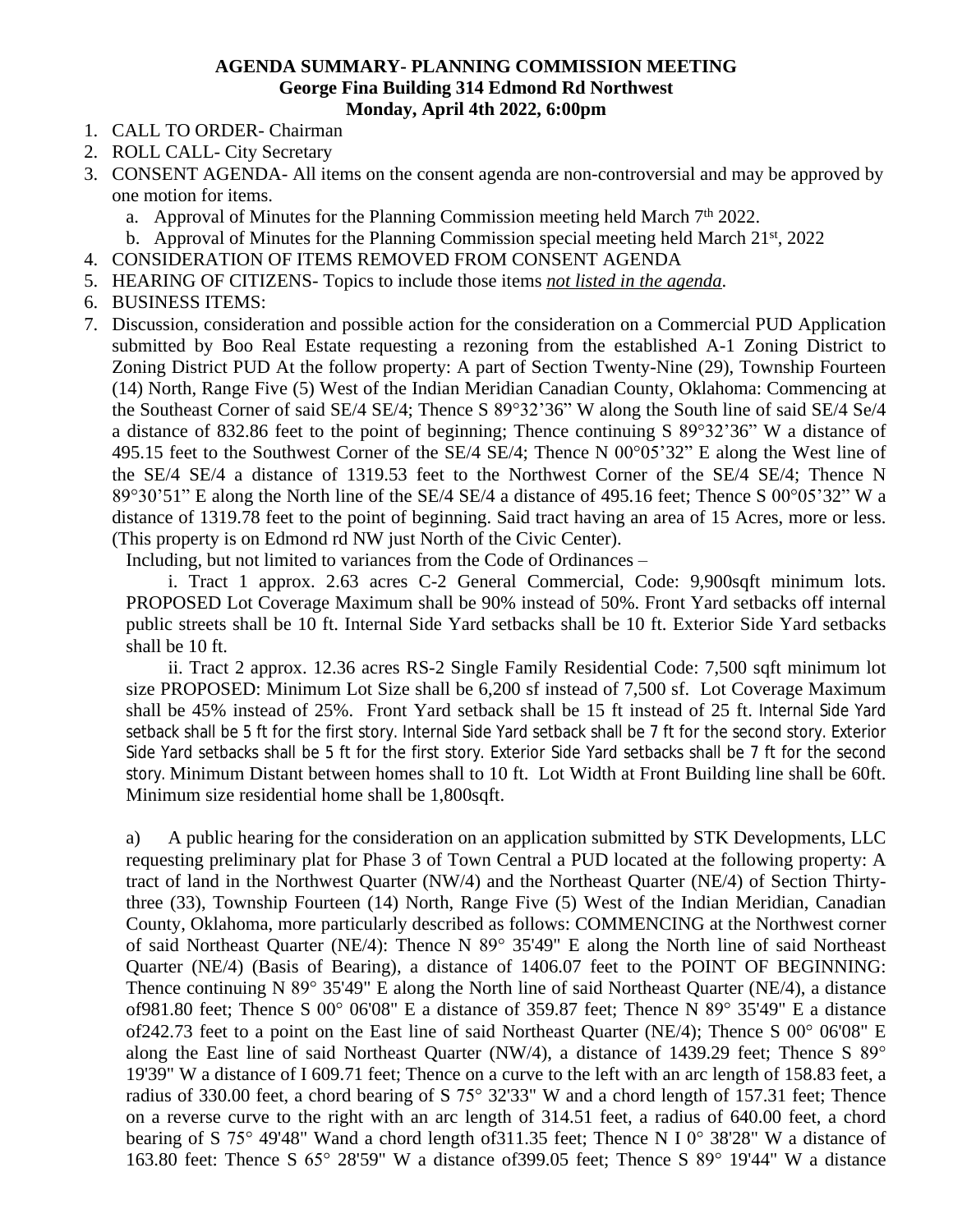## **AGENDA SUMMARY- PLANNING COMMISSION MEETING George Fina Building 314 Edmond Rd Northwest Monday, April 4th 2022, 6:00pm**

- 1. CALL TO ORDER- Chairman
- 2. ROLL CALL- City Secretary
- 3. CONSENT AGENDA- All items on the consent agenda are non-controversial and may be approved by one motion for items.
	- a. Approval of Minutes for the Planning Commission meeting held March  $7<sup>th</sup> 2022$ .
	- b. Approval of Minutes for the Planning Commission special meeting held March  $21<sup>st</sup>$ , 2022
- 4. CONSIDERATION OF ITEMS REMOVED FROM CONSENT AGENDA
- 5. HEARING OF CITIZENS- Topics to include those items *not listed in the agenda*.
- 6. BUSINESS ITEMS:
- 7. Discussion, consideration and possible action for the consideration on a Commercial PUD Application submitted by Boo Real Estate requesting a rezoning from the established A-1 Zoning District to Zoning District PUD At the follow property: A part of Section Twenty-Nine (29), Township Fourteen (14) North, Range Five (5) West of the Indian Meridian Canadian County, Oklahoma: Commencing at the Southeast Corner of said SE/4 SE/4; Thence S 89°32'36" W along the South line of said SE/4 Se/4 a distance of 832.86 feet to the point of beginning; Thence continuing S 89°32'36" W a distance of 495.15 feet to the Southwest Corner of the SE/4 SE/4; Thence N 00°05'32" E along the West line of the SE/4 SE/4 a distance of 1319.53 feet to the Northwest Corner of the SE/4 SE/4; Thence N 89°30'51" E along the North line of the SE/4 SE/4 a distance of 495.16 feet; Thence S 00°05'32" W a distance of 1319.78 feet to the point of beginning. Said tract having an area of 15 Acres, more or less. (This property is on Edmond rd NW just North of the Civic Center).

Including, but not limited to variances from the Code of Ordinances –

i. Tract 1 approx. 2.63 acres C-2 General Commercial, Code: 9,900sqft minimum lots. PROPOSED Lot Coverage Maximum shall be 90% instead of 50%. Front Yard setbacks off internal public streets shall be 10 ft. Internal Side Yard setbacks shall be 10 ft. Exterior Side Yard setbacks shall be 10 ft.

ii. Tract 2 approx. 12.36 acres RS-2 Single Family Residential Code: 7,500 sqft minimum lot size PROPOSED: Minimum Lot Size shall be 6,200 sf instead of 7,500 sf. Lot Coverage Maximum shall be 45% instead of 25%. Front Yard setback shall be 15 ft instead of 25 ft. Internal Side Yard setback shall be 5 ft for the first story. Internal Side Yard setback shall be 7 ft for the second story. Exterior Side Yard setbacks shall be 5 ft for the first story. Exterior Side Yard setbacks shall be 7 ft for the second story. Minimum Distant between homes shall to 10 ft. Lot Width at Front Building line shall be 60ft. Minimum size residential home shall be 1,800sqft.

a) A public hearing for the consideration on an application submitted by STK Developments, LLC requesting preliminary plat for Phase 3 of Town Central a PUD located at the following property: A tract of land in the Northwest Quarter (NW/4) and the Northeast Quarter (NE/4) of Section Thirtythree (33), Township Fourteen (14) North, Range Five (5) West of the Indian Meridian, Canadian County, Oklahoma, more particularly described as follows: COMMENCING at the Northwest corner of said Northeast Quarter (NE/4): Thence N 89° 35'49" E along the North line of said Northeast Quarter (NE/4) (Basis of Bearing), a distance of 1406.07 feet to the POINT OF BEGINNING: Thence continuing N 89° 35'49" E along the North line of said Northeast Quarter (NE/4), a distance of981.80 feet; Thence S 00° 06'08" E a distance of 359.87 feet; Thence N 89° 35'49" E a distance of242.73 feet to a point on the East line of said Northeast Quarter (NE/4); Thence S 00° 06'08" E along the East line of said Northeast Quarter (NW/4), a distance of 1439.29 feet; Thence S 89° 19'39" W a distance of I 609.71 feet; Thence on a curve to the left with an arc length of 158.83 feet, a radius of 330.00 feet, a chord bearing of S 75° 32'33" W and a chord length of 157.31 feet; Thence on a reverse curve to the right with an arc length of 314.51 feet, a radius of 640.00 feet, a chord bearing of S 75° 49'48" Wand a chord length of311.35 feet; Thence N I 0° 38'28" W a distance of 163.80 feet: Thence S 65° 28'59" W a distance of399.05 feet; Thence S 89° 19'44" W a distance